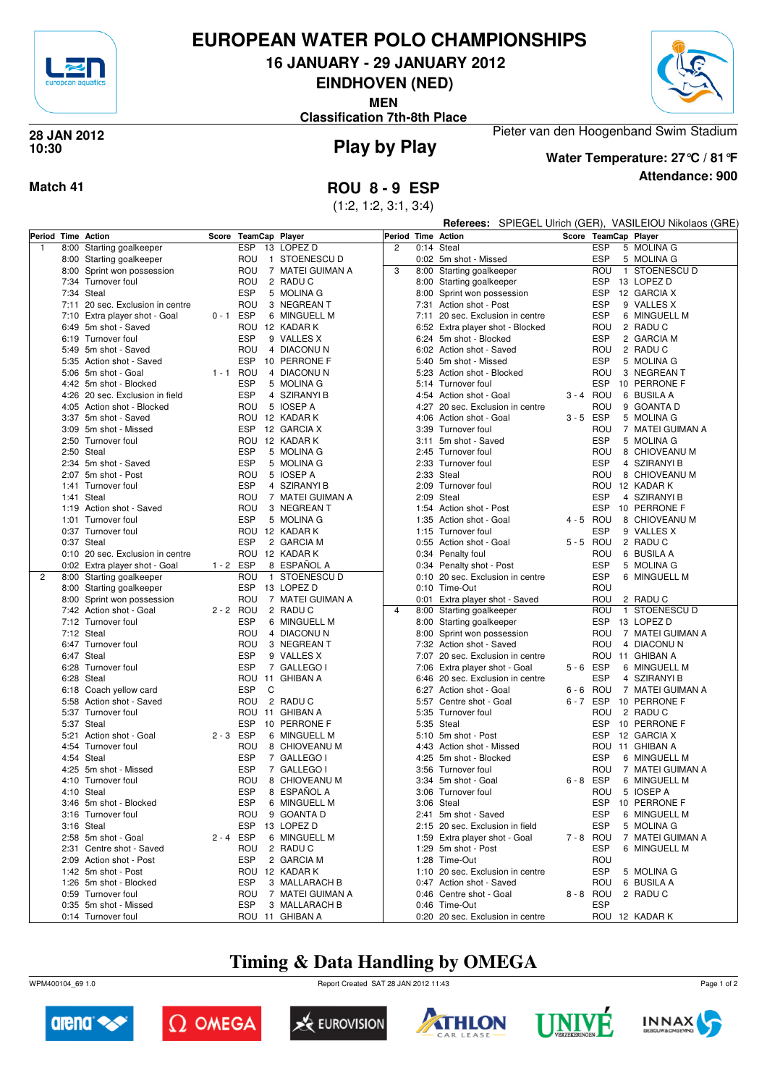

# **EUROPEAN WATER POLO CHAMPIONSHIPS**

**16 JANUARY - 29 JANUARY 2012**

**EINDHOVEN (NED)**

**MEN**

**Classification 7th-8th Place**



#### **Play by Play 28 JAN 2012 10:30**



**Attendance: 900 Water Temperature: 27°C / 81°F**

Pieter van den Hoogenband Swim Stadium

#### **Match 41 ROU 8 - 9 ESP**

(1:2, 1:2, 3:1, 3:4)

**Referees:** SPIEGEL Ulrich (GER), VASILEIOU Nikolaos (GRE)

| Period Time Action |      |                                             |             | Score TeamCap Player     |                              | Period Time Action |      |                                      |             | Score TeamCap Player                           |  |  |  |  |
|--------------------|------|---------------------------------------------|-------------|--------------------------|------------------------------|--------------------|------|--------------------------------------|-------------|------------------------------------------------|--|--|--|--|
| $\mathbf{1}$       | 8:00 | Starting goalkeeper                         |             | <b>ESP</b><br>13         | LOPEZ D                      | $\overline{c}$     |      | 0:14 Steal                           |             | <b>ESP</b><br>5 MOLINA G                       |  |  |  |  |
|                    | 8:00 | Starting goalkeeper                         |             | ROU                      | 1 STOENESCU D                |                    |      | 0:02 5m shot - Missed                |             | <b>ESP</b><br>5 MOLINA G                       |  |  |  |  |
|                    |      | 8:00 Sprint won possession                  |             | ROU                      | 7 MATEI GUIMAN A             | 3                  |      | 8:00 Starting goalkeeper             |             | ROU<br>1 STOENESCU D                           |  |  |  |  |
|                    |      | 7:34 Turnover foul                          |             | ROU                      | 2 RADU C                     |                    |      | 8:00 Starting goalkeeper             |             | ESP<br>13 LOPEZ D                              |  |  |  |  |
|                    |      | 7:34 Steal                                  |             | <b>ESP</b>               | 5 MOLINA G                   |                    |      | 8:00 Sprint won possession           |             | ESP<br>12 GARCIA X                             |  |  |  |  |
|                    |      | 7:11 20 sec. Exclusion in centre            |             | ROU                      | 3 NEGREAN T                  |                    |      | 7:31 Action shot - Post              |             | <b>ESP</b><br>9 VALLES X                       |  |  |  |  |
|                    |      |                                             | $0 - 1$ ESP |                          | 6 MINGUELL M                 |                    |      | 7:11 20 sec. Exclusion in centre     |             | <b>ESP</b><br>6 MINGUELL M                     |  |  |  |  |
|                    |      | 7:10 Extra player shot - Goal               |             |                          |                              |                    |      |                                      |             |                                                |  |  |  |  |
|                    |      | 6:49 5m shot - Saved                        |             | ROU 12 KADAR K           |                              |                    |      | 6:52 Extra player shot - Blocked     |             | ROU<br>2 RADUC                                 |  |  |  |  |
|                    |      | 6:19 Turnover foul                          |             | <b>ESP</b>               | 9 VALLES X                   |                    |      | 6:24 5m shot - Blocked               |             | <b>ESP</b><br>2 GARCIA M                       |  |  |  |  |
|                    |      | 5:49 5m shot - Saved                        |             | ROU                      | 4 DIACONUN                   |                    |      | 6:02 Action shot - Saved             |             | ROU<br>2 RADUC                                 |  |  |  |  |
|                    |      | 5:35 Action shot - Saved                    |             | <b>ESP</b>               | 10 PERRONE F                 |                    | 5:40 | 5m shot - Missed                     |             | <b>ESP</b><br>5 MOLINA G                       |  |  |  |  |
|                    |      | 5:06 5m shot - Goal                         | 1 - 1 ROU   |                          | 4 DIACONUN                   |                    | 5:23 | Action shot - Blocked                |             | 3 NEGREAN T<br>ROU                             |  |  |  |  |
|                    |      | 4:42 5m shot - Blocked                      |             | <b>ESP</b>               | 5 MOLINA G                   |                    |      | 5:14 Turnover foul                   |             | <b>ESP</b><br>10 PERRONE F                     |  |  |  |  |
|                    |      | 4:26 20 sec. Exclusion in field             |             | <b>ESP</b>               | 4 SZIRANYI B                 |                    |      | 4:54 Action shot - Goal              | 3-4 ROU     | 6 BUSILA A                                     |  |  |  |  |
|                    |      | 4:05 Action shot - Blocked                  |             | ROU                      | 5 IOSEP A                    |                    | 4:27 | 20 sec. Exclusion in centre          |             | ROU<br>9 GOANTA D                              |  |  |  |  |
|                    |      | 3:37 5m shot - Saved                        |             | ROU 12 KADAR K           |                              |                    | 4:06 | Action shot - Goal                   | $3 - 5$ ESP | 5 MOLINA G                                     |  |  |  |  |
|                    |      | 3:09 5m shot - Missed                       |             | <b>ESP</b>               | 12 GARCIA X                  |                    |      | 3:39 Turnover foul                   |             | ROU<br>7 MATEI GUIMAN A                        |  |  |  |  |
|                    |      | 2:50 Turnover foul                          |             | ROU 12 KADAR K           |                              |                    |      | 3:11 5m shot - Saved                 |             | <b>ESP</b><br>5 MOLINA G                       |  |  |  |  |
|                    |      | 2:50 Steal                                  |             | <b>ESP</b>               | 5 MOLINA G                   |                    |      | 2:45 Turnover foul                   |             | ROU<br>8 CHIOVEANU M                           |  |  |  |  |
|                    |      | 2:34 5m shot - Saved                        |             | <b>ESP</b>               | 5 MOLINA G                   |                    | 2:33 | Turnover foul                        |             | <b>ESP</b><br>4 SZIRANYI B                     |  |  |  |  |
|                    |      | 2:07 5m shot - Post                         |             | ROU                      | 5 IOSEP A                    |                    |      | 2:33 Steal                           |             | ROU<br>8 CHIOVEANU M                           |  |  |  |  |
|                    |      | 1:41 Turnover foul                          |             | <b>ESP</b>               | 4 SZIRANYI B                 |                    |      | 2:09 Turnover foul                   |             | ROU 12 KADAR K                                 |  |  |  |  |
|                    |      | 1:41 Steal                                  |             | ROU                      | 7 MATEI GUIMAN A             |                    |      | 2:09 Steal                           |             | <b>ESP</b><br>4 SZIRANYI B                     |  |  |  |  |
|                    |      | 1:19 Action shot - Saved                    |             | ROU                      | 3 NEGREAN T                  |                    |      | 1:54 Action shot - Post              |             | <b>ESP</b><br>10 PERRONE F                     |  |  |  |  |
|                    |      | 1:01 Turnover foul                          |             | <b>ESP</b>               | 5 MOLINA G                   |                    |      | 1:35 Action shot - Goal              | 4 - 5 ROU   | 8 CHIOVEANU M                                  |  |  |  |  |
|                    |      | 0:37 Turnover foul                          |             | ROU 12 KADAR K           |                              |                    |      | 1:15 Turnover foul                   |             | <b>ESP</b><br>9 VALLES X                       |  |  |  |  |
|                    |      | 0:37 Steal                                  |             | <b>ESP</b>               | 2 GARCIA M                   |                    |      | 0:55 Action shot - Goal              | 5-5 ROU     | 2 RADUC                                        |  |  |  |  |
|                    |      | 0:10 20 sec. Exclusion in centre            |             | ROU                      | 12 KADAR K                   |                    |      | 0:34 Penalty foul                    |             | ROU<br>6 BUSILA A                              |  |  |  |  |
|                    |      | 0:02 Extra player shot - Goal               | $1 - 2$ ESP |                          | 8 ESPAÑOL A                  |                    |      | 0:34 Penalty shot - Post             |             | <b>ESP</b><br>5 MOLINA G                       |  |  |  |  |
| 2                  |      | 8:00 Starting goalkeeper                    |             | ROU                      | 1 STOENESCU D                |                    |      | 0:10 20 sec. Exclusion in centre     |             | <b>ESP</b><br>6 MINGUELL M                     |  |  |  |  |
|                    |      | 8:00 Starting goalkeeper                    |             | <b>ESP</b>               | 13 LOPEZ D                   |                    |      | 0:10 Time-Out                        |             | ROU                                            |  |  |  |  |
|                    |      | 8:00 Sprint won possession                  |             | ROU                      | 7 MATEI GUIMAN A             |                    |      | 0:01 Extra player shot - Saved       |             | ROU<br>2 RADUC                                 |  |  |  |  |
|                    |      | 7:42 Action shot - Goal                     | 2 - 2 ROU   |                          | 2 RADU C                     | $\overline{4}$     |      | 8:00 Starting goalkeeper             |             | 1 STOENESCU D<br>ROU                           |  |  |  |  |
|                    |      | 7:12 Turnover foul                          |             | <b>ESP</b>               | 6 MINGUELL M                 |                    |      | 8:00 Starting goalkeeper             |             | ESP 13 LOPEZ D                                 |  |  |  |  |
|                    |      | 7:12 Steal                                  |             | ROU                      | 4 DIACONUN                   |                    |      | 8:00 Sprint won possession           |             | 7 MATEI GUIMAN A<br>ROU                        |  |  |  |  |
|                    |      | 6:47 Turnover foul                          |             | ROU                      | 3 NEGREAN T                  |                    |      | 7:32 Action shot - Saved             |             | ROU<br>4 DIACONUN                              |  |  |  |  |
|                    |      | 6:47 Steal                                  |             | <b>ESP</b>               | 9 VALLES X                   |                    |      | 7:07 20 sec. Exclusion in centre     |             | ROU 11 GHIBAN A                                |  |  |  |  |
|                    |      | 6:28 Turnover foul                          |             | <b>ESP</b>               | 7 GALLEGO I                  |                    | 7:06 | Extra player shot - Goal             | $5 - 6$ ESP | 6 MINGUELL M                                   |  |  |  |  |
|                    |      | 6:28 Steal                                  |             |                          | ROU 11 GHIBAN A              |                    | 6:46 | 20 sec. Exclusion in centre          |             | <b>ESP</b><br>4 SZIRANYI B                     |  |  |  |  |
|                    |      | 6:18 Coach yellow card                      |             | <b>ESP</b><br>C          |                              |                    |      | 6:27 Action shot - Goal              | $6 - 6$     | ROU<br>7 MATEI GUIMAN A                        |  |  |  |  |
|                    |      | 5:58 Action shot - Saved                    |             | ROU                      | 2 RADU C                     |                    | 5:57 | Centre shot - Goal                   | 6-7 ESP     | 10 PERRONE F                                   |  |  |  |  |
|                    |      | 5:37 Turnover foul                          |             |                          | ROU 11 GHIBAN A              |                    | 5:35 | Turnover foul                        |             | ROU<br>2 RADUC                                 |  |  |  |  |
|                    |      | 5:37 Steal                                  |             | <b>ESP</b>               | 10 PERRONE F                 |                    |      | 5:35 Steal                           |             | 10 PERRONE F<br><b>ESP</b>                     |  |  |  |  |
|                    |      | 5:21 Action shot - Goal                     | $2 - 3$ ESP |                          | 6 MINGUELL M                 |                    |      | 5:10 5m shot - Post                  |             | <b>ESP</b><br>12 GARCIA X                      |  |  |  |  |
|                    |      | 4:54 Turnover foul                          |             | ROU                      | 8 CHIOVEANU M                |                    |      | 4:43 Action shot - Missed            |             | ROU 11 GHIBAN A                                |  |  |  |  |
|                    |      | 4:54 Steal                                  |             | <b>ESP</b>               | 7 GALLEGO I                  |                    | 4:25 | 5m shot - Blocked                    |             | <b>ESP</b><br>6 MINGUELL M                     |  |  |  |  |
|                    |      |                                             |             |                          |                              |                    |      |                                      |             |                                                |  |  |  |  |
|                    |      | 4:25 5m shot - Missed<br>4:10 Turnover foul |             | <b>ESP</b><br>ROU        | 7 GALLEGO I<br>8 CHIOVEANU M |                    | 3:56 | Turnover foul<br>3:34 5m shot - Goal | 6-8 ESP     | ROU<br>7 MATEI GUIMAN A<br>6 MINGUELL M        |  |  |  |  |
|                    |      |                                             |             |                          | 8 ESPAÑOL A                  |                    |      |                                      |             |                                                |  |  |  |  |
|                    |      | 4:10 Steal<br>3:46 5m shot - Blocked        |             | <b>ESP</b><br><b>ESP</b> | 6 MINGUELL M                 |                    | 3:06 | Turnover foul<br>3:06 Steal          |             | 5 IOSEP A<br>ROU<br><b>ESP</b><br>10 PERRONE F |  |  |  |  |
|                    |      |                                             |             |                          |                              |                    |      |                                      |             |                                                |  |  |  |  |
|                    |      | 3:16 Turnover foul                          |             | <b>ROU</b>               | 9 GOANTA D                   |                    |      | 2:41 5m shot - Saved                 |             | ESP<br>6 MINGUELL M                            |  |  |  |  |
|                    |      | 3:16 Steal                                  |             | ESP                      | 13 LOPEZ D                   |                    |      | 2:15 20 sec. Exclusion in field      |             | <b>ESP</b><br>5 MOLINA G                       |  |  |  |  |
|                    |      | 2:58 5m shot - Goal                         | 2-4 ESP     |                          | 6 MINGUELL M                 |                    |      | 1:59 Extra player shot - Goal        | 7-8 ROU     | 7 MATEI GUIMAN A                               |  |  |  |  |
|                    |      | 2:31 Centre shot - Saved                    |             | ROU                      | 2 RADUC                      |                    |      | 1:29 5m shot - Post                  |             | <b>ESP</b><br>6 MINGUELL M                     |  |  |  |  |
|                    |      | 2:09 Action shot - Post                     |             | ESP                      | 2 GARCIA M                   |                    |      | 1:28 Time-Out                        |             | ROU                                            |  |  |  |  |
|                    |      | 1:42 5m shot - Post                         |             |                          | ROU 12 KADAR K               |                    |      | 1:10 20 sec. Exclusion in centre     |             | <b>ESP</b><br>5 MOLINA G                       |  |  |  |  |
|                    |      | 1:26 5m shot - Blocked                      |             | <b>ESP</b>               | 3 MALLARACH B                |                    |      | 0:47 Action shot - Saved             |             | ROU<br>6 BUSILA A                              |  |  |  |  |
|                    |      | 0:59 Turnover foul                          |             | ROU                      | 7 MATEI GUIMAN A             |                    |      | 0:46 Centre shot - Goal              | 8-8 ROU     | 2 RADU C                                       |  |  |  |  |
|                    |      | 0:35 5m shot - Missed                       |             | <b>ESP</b>               | 3 MALLARACH B                |                    |      | 0:46 Time-Out                        |             | <b>ESP</b>                                     |  |  |  |  |
|                    |      | 0:14 Turnover foul                          |             |                          | ROU 11 GHIBAN A              |                    |      | 0:20 20 sec. Exclusion in centre     |             | ROU 12 KADAR K                                 |  |  |  |  |

### **Timing & Data Handling by OMEGA**

WPM400104\_69 1.0 Report Created SAT 28 JAN 2012 11:43













Page 1 of 2